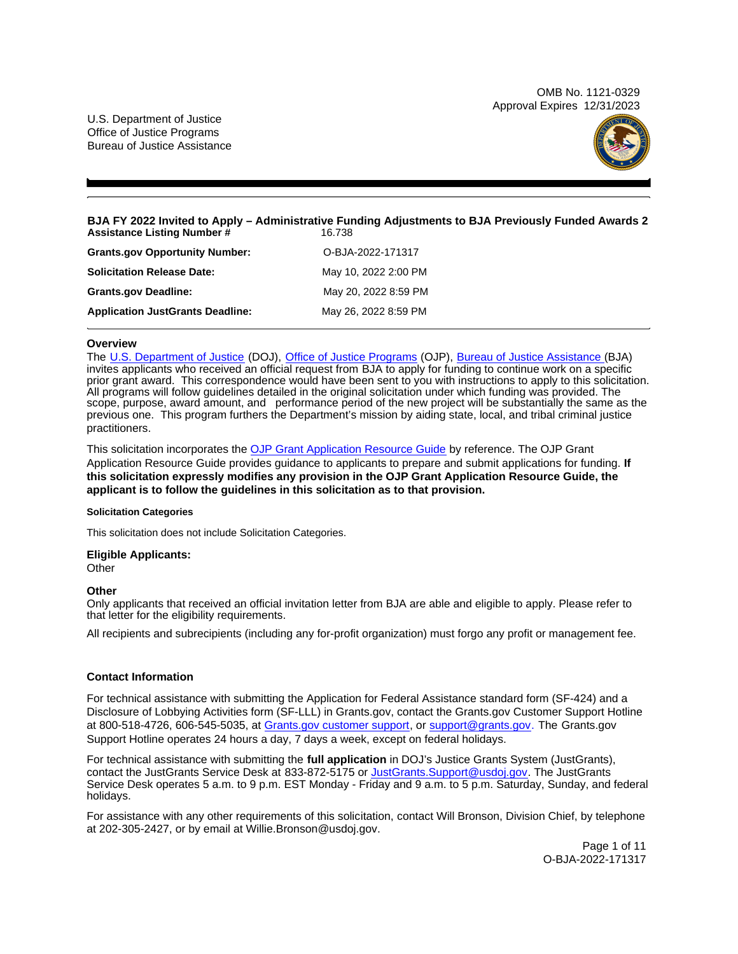OMB No. 1121-0329 Approval Expires 12/31/2023

<span id="page-0-0"></span>U.S. Department of Justice Office of Justice Programs Bureau of Justice Assistance



#### **BJA FY 2022 Invited to Apply – Administrative Funding Adjustments to BJA Previously Funded Awards 2 Assistance Listing Number #**

| <b>Grants.gov Opportunity Number:</b>   | O-BJA-2022-171317    |
|-----------------------------------------|----------------------|
| <b>Solicitation Release Date:</b>       | May 10, 2022 2:00 PM |
| <b>Grants.gov Deadline:</b>             | May 20, 2022 8:59 PM |
| <b>Application JustGrants Deadline:</b> | May 26, 2022 8:59 PM |

## **Overview**

The [U.S. Department of Justice](https://www.usdoj.gov/) (DOJ), [Office of Justice Programs](https://www.ojp.usdoj.gov/) (OJP), [Bureau of Justice Assistance \(](https://bja.ojp.gov/)BJA) invites applicants who received an official request from BJA to apply for funding to continue work on a specific prior grant award. This correspondence would have been sent to you with instructions to apply to this solicitation. All programs will follow guidelines detailed in the original solicitation under which funding was provided. The scope, purpose, award amount, and performance period of the new project will be substantially the same as the previous one. This program furthers the Department's mission by aiding state, local, and tribal criminal justice practitioners.

This solicitation incorporates the [OJP Grant Application Resource Guide](https://www.ojp.gov/funding/Apply/Resources/Grant-App-Resource-Guide.htm) by reference. The OJP Grant Application Resource Guide provides guidance to applicants to prepare and submit applications for funding. **If this solicitation expressly modifies any provision in the OJP Grant Application Resource Guide, the applicant is to follow the guidelines in this solicitation as to that provision.** 

#### **Solicitation Categories**

This solicitation does not include Solicitation Categories.

# **Eligible Applicants:**

**Other** 

# **Other**

Only applicants that received an official invitation letter from BJA are able and eligible to apply. Please refer to that letter for the eligibility requirements.

All recipients and subrecipients (including any for-profit organization) must forgo any profit or management fee.

# **Contact Information**

For technical assistance with submitting the Application for Federal Assistance standard form (SF-424) and a Disclosure of Lobbying Activities form (SF-LLL) in [Grants.gov](https://Grants.gov), contact the [Grants.gov](https://Grants.gov) Customer Support Hotline at 800-518-4726, 606-545-5035, at [Grants.gov customer support,](https://www.grants.gov/web/grants/support.html) or [support@grants.gov.](mailto:support@grants.gov) The [Grants.gov](https://Grants.gov)  Support Hotline operates 24 hours a day, 7 days a week, except on federal holidays.

For technical assistance with submitting the **full application** in DOJ's Justice Grants System (JustGrants), contact the JustGrants Service Desk at 833-872-5175 or [JustGrants.Support@usdoj.gov.](mailto:JustGrants.Support@usdoj.gov) The JustGrants Service Desk operates 5 a.m. to 9 p.m. EST Monday - Friday and 9 a.m. to 5 p.m. Saturday, Sunday, and federal holidays.

For assistance with any other requirements of this solicitation, contact Will Bronson, Division Chief, by telephone at 202-305-2427, or by email at [Willie.Bronson@usdoj.gov](mailto:Willie.Bronson@usdoj.gov).

> Page 1 of 11 O-BJA-2022-171317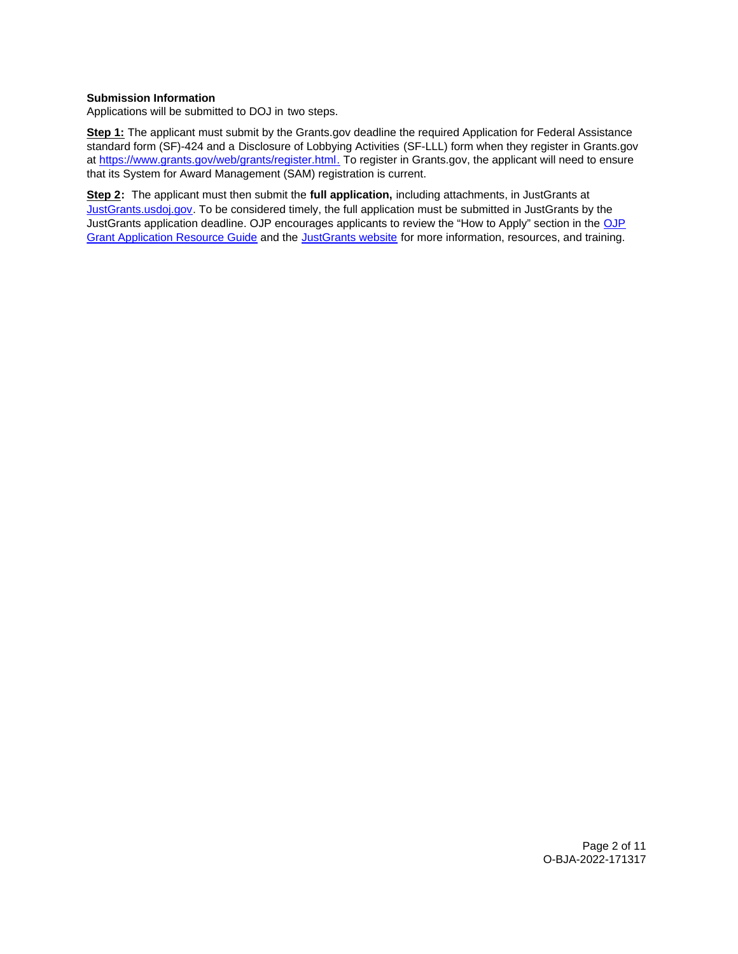# **Submission Information**

Applications will be submitted to DOJ in two steps.

**Step 1:** The applicant must submit by the [Grants.gov](https://Grants.gov) deadline the required Application for Federal Assistance standard form (SF)-424 and a Disclosure of Lobbying Activities (SF-LLL) form when they register in [Grants.gov](https://Grants.gov)  at [https://www.grants.gov/web/grants/register.html.](https://www.grants.gov/web/grants/register.html) To register in [Grants.gov,](https://Grants.gov) the applicant will need to ensure that its System for Award Management (SAM) registration is current.

**Step 2:** The applicant must then submit the **full application,** including attachments, in JustGrants at [JustGrants.usdoj.gov.](#) To be considered timely, the full application must be submitted in JustGrants by the JustGrants application deadline. OJP encourages applicants to review the "How to Apply" section in the [OJP](https://www.ojp.gov/funding/apply/ojp-grant-application-resource-guide#apply)  [Grant Application Resource Guide](https://www.ojp.gov/funding/apply/ojp-grant-application-resource-guide#apply) and the [JustGrants website](https://justicegrants.usdoj.gov/news) for more information, resources, and training.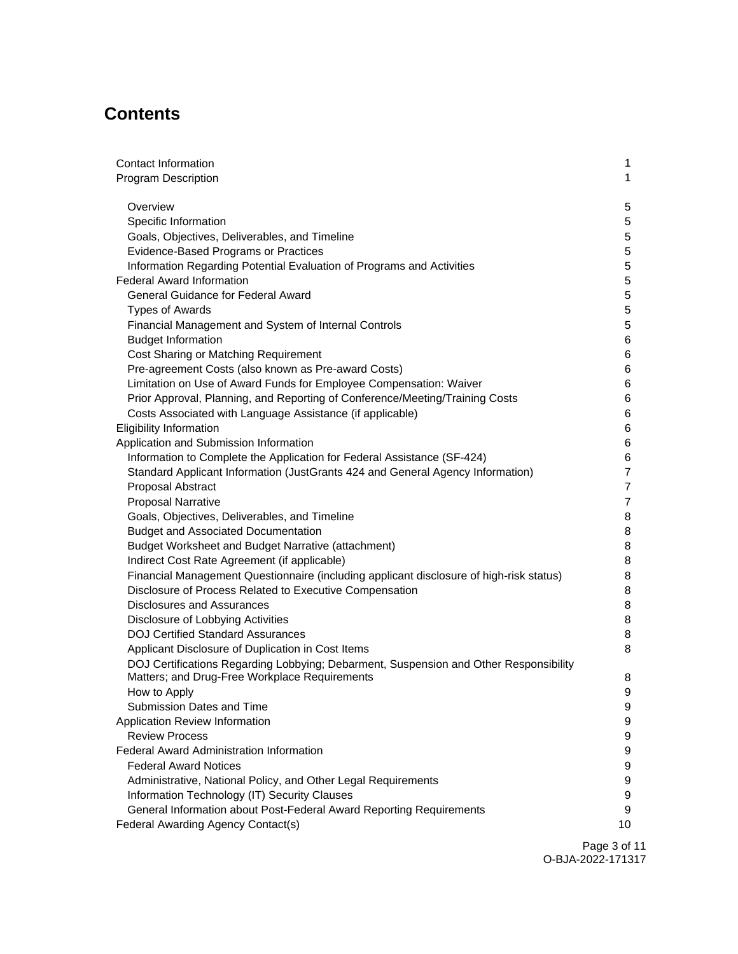# **Contents**

| <b>Contact Information</b>                                                                                | 1                                |
|-----------------------------------------------------------------------------------------------------------|----------------------------------|
| <b>Program Description</b>                                                                                | 1                                |
|                                                                                                           |                                  |
| Overview                                                                                                  | $\mathbf 5$                      |
| Specific Information                                                                                      | $\overline{5}$                   |
| Goals, Objectives, Deliverables, and Timeline                                                             | $\overline{5}$<br>$\overline{5}$ |
| Evidence-Based Programs or Practices                                                                      | $\sqrt{5}$                       |
| Information Regarding Potential Evaluation of Programs and Activities<br><b>Federal Award Information</b> | $\sqrt{5}$                       |
| General Guidance for Federal Award                                                                        | $5\phantom{.0}$                  |
| <b>Types of Awards</b>                                                                                    | $5\phantom{.0}$                  |
| Financial Management and System of Internal Controls                                                      | $\overline{5}$                   |
| <b>Budget Information</b>                                                                                 | 6                                |
| Cost Sharing or Matching Requirement                                                                      | 6                                |
| Pre-agreement Costs (also known as Pre-award Costs)                                                       | 6                                |
| Limitation on Use of Award Funds for Employee Compensation: Waiver                                        | 6                                |
| Prior Approval, Planning, and Reporting of Conference/Meeting/Training Costs                              | $\,6$                            |
| Costs Associated with Language Assistance (if applicable)                                                 | $\,6$                            |
| <b>Eligibility Information</b>                                                                            | 6                                |
| Application and Submission Information                                                                    | 6                                |
| Information to Complete the Application for Federal Assistance (SF-424)                                   | 6                                |
| Standard Applicant Information (JustGrants 424 and General Agency Information)                            | $\overline{7}$                   |
| Proposal Abstract                                                                                         | $\overline{7}$                   |
| <b>Proposal Narrative</b>                                                                                 | $\overline{7}$                   |
| Goals, Objectives, Deliverables, and Timeline                                                             | 8                                |
| <b>Budget and Associated Documentation</b>                                                                | 8                                |
| Budget Worksheet and Budget Narrative (attachment)                                                        | 8                                |
| Indirect Cost Rate Agreement (if applicable)                                                              | 8                                |
| Financial Management Questionnaire (including applicant disclosure of high-risk status)                   | 8                                |
| Disclosure of Process Related to Executive Compensation                                                   | 8                                |
| <b>Disclosures and Assurances</b>                                                                         | 8                                |
| Disclosure of Lobbying Activities                                                                         | 8                                |
| <b>DOJ Certified Standard Assurances</b>                                                                  | 8                                |
| Applicant Disclosure of Duplication in Cost Items                                                         | 8                                |
| DOJ Certifications Regarding Lobbying; Debarment, Suspension and Other Responsibility                     |                                  |
| Matters; and Drug-Free Workplace Requirements                                                             | 8                                |
| How to Apply                                                                                              | $\boldsymbol{9}$                 |
| Submission Dates and Time                                                                                 | 9                                |
| Application Review Information                                                                            | 9                                |
| <b>Review Process</b>                                                                                     | 9                                |
| <b>Federal Award Administration Information</b>                                                           | $\boldsymbol{9}$                 |
| <b>Federal Award Notices</b>                                                                              | $\boldsymbol{9}$                 |
| Administrative, National Policy, and Other Legal Requirements                                             | $\boldsymbol{9}$                 |
| Information Technology (IT) Security Clauses                                                              | 9                                |
| General Information about Post-Federal Award Reporting Requirements                                       | 9                                |
| Federal Awarding Agency Contact(s)                                                                        | 10                               |

Page 3 of 11 O-BJA-2022-171317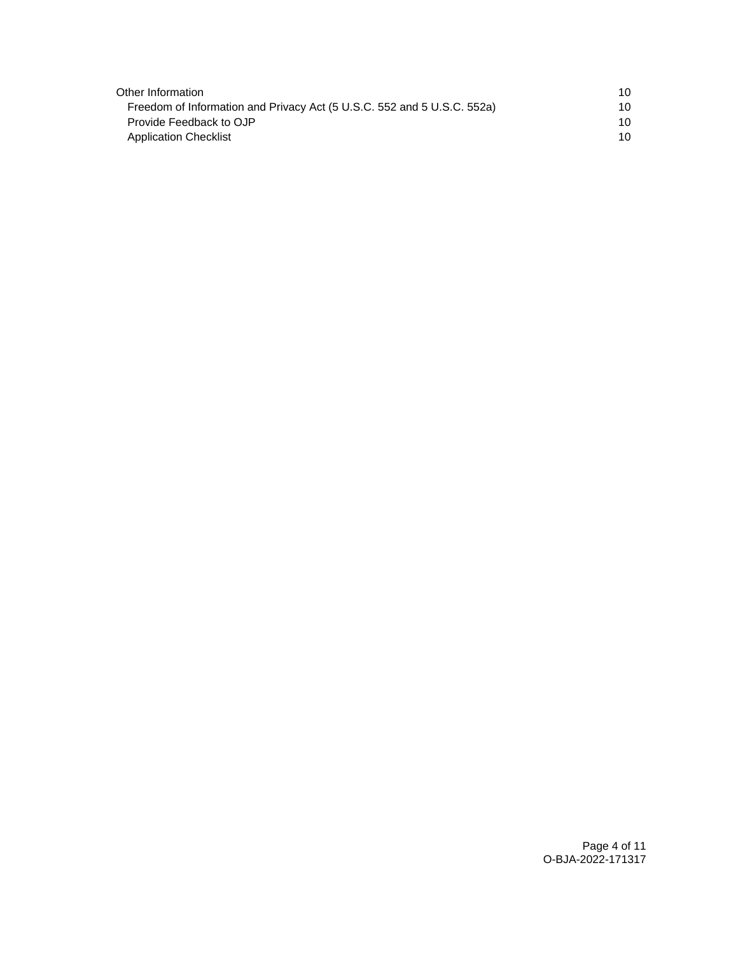| Other Information                                                       | 10 |
|-------------------------------------------------------------------------|----|
| Freedom of Information and Privacy Act (5 U.S.C. 552 and 5 U.S.C. 552a) | 10 |
| Provide Feedback to OJP                                                 | 10 |
| <b>Application Checklist</b>                                            | 10 |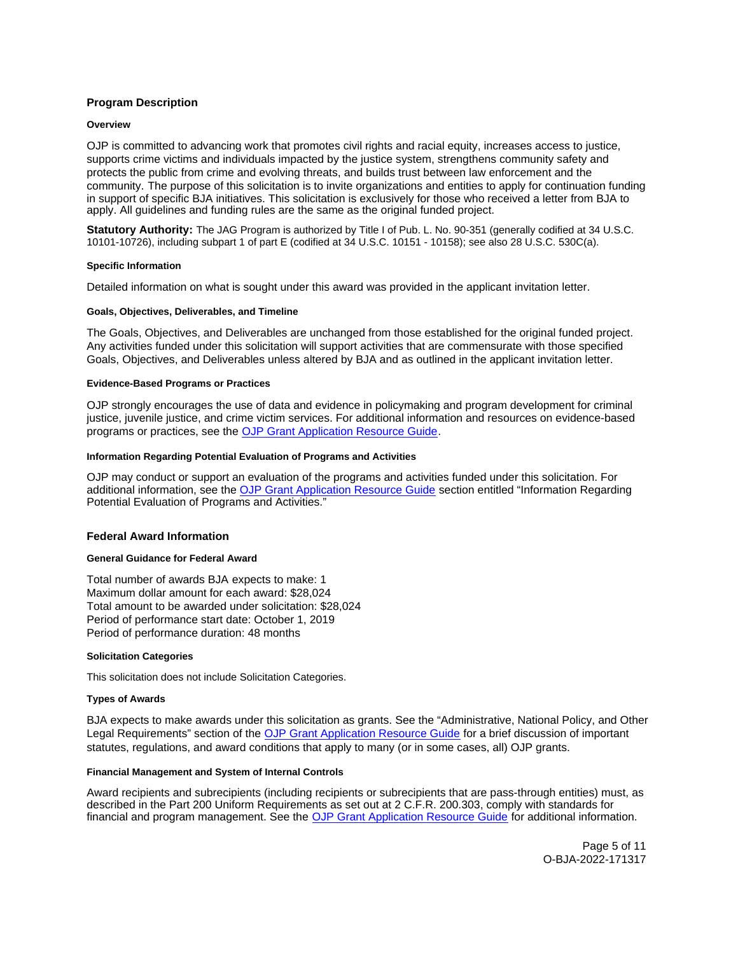# <span id="page-4-0"></span>**Program Description**

#### **Overview**

OJP is committed to advancing work that promotes civil rights and racial equity, increases access to justice, supports crime victims and individuals impacted by the justice system, strengthens community safety and protects the public from crime and evolving threats, and builds trust between law enforcement and the community. The purpose of this solicitation is to invite organizations and entities to apply for continuation funding in support of specific BJA initiatives. This solicitation is exclusively for those who received a letter from BJA to apply. All guidelines and funding rules are the same as the original funded project.

**Statutory Authority:** The JAG Program is authorized by Title I of Pub. L. No. 90-351 (generally codified at 34 U.S.C. 10101-10726), including subpart 1 of part E (codified at 34 U.S.C. 10151 - 10158); see also 28 U.S.C. 530C(a).

#### **Specific Information**

Detailed information on what is sought under this award was provided in the applicant invitation letter.

#### **Goals, Objectives, Deliverables, and Timeline**

The Goals, Objectives, and Deliverables are unchanged from those established for the original funded project. Any activities funded under this solicitation will support activities that are commensurate with those specified Goals, Objectives, and Deliverables unless altered by BJA and as outlined in the applicant invitation letter.

#### **Evidence-Based Programs or Practices**

OJP strongly encourages the use of data and evidence in policymaking and program development for criminal justice, juvenile justice, and crime victim services. For additional information and resources on evidence-based programs or practices, see the [OJP Grant Application Resource Guide.](https://www.ojp.gov/funding/apply/ojp-grant-application-resource-guide#evidence-based)

## **Information Regarding Potential Evaluation of Programs and Activities**

OJP may conduct or support an evaluation of the programs and activities funded under this solicitation. For additional information, see the [OJP Grant Application Resource Guide](https://www.ojp.gov/funding/apply/ojp-grant-application-resource-guide#potential-evaluation) section entitled "Information Regarding Potential Evaluation of Programs and Activities."

#### **Federal Award Information**

## **General Guidance for Federal Award**

Total number of awards BJA expects to make: 1 Maximum dollar amount for each award: \$28,024 Total amount to be awarded under solicitation: \$28,024 Period of performance start date: October 1, 2019 Period of performance duration: 48 months

## **Solicitation Categories**

This solicitation does not include Solicitation Categories.

#### **Types of Awards**

BJA expects to make awards under this solicitation as grants. See the "Administrative, National Policy, and Other Legal Requirements" section of the [OJP Grant Application Resource Guide](https://www.ojp.gov/funding/apply/ojp-grant-application-resource-guide#administrative) for a brief discussion of important statutes, regulations, and award conditions that apply to many (or in some cases, all) OJP grants.

#### **Financial Management and System of Internal Controls**

Award recipients and subrecipients (including recipients or subrecipients that are pass-through entities) must, as described in the Part 200 Uniform Requirements as set out at 2 C.F.R. 200.303, comply with standards for financial and program management. See the [OJP Grant Application Resource Guide](https://www.ojp.gov/funding/apply/ojp-grant-application-resource-guide#fm-internal-controls) for additional information.

> Page 5 of 11 O-BJA-2022-171317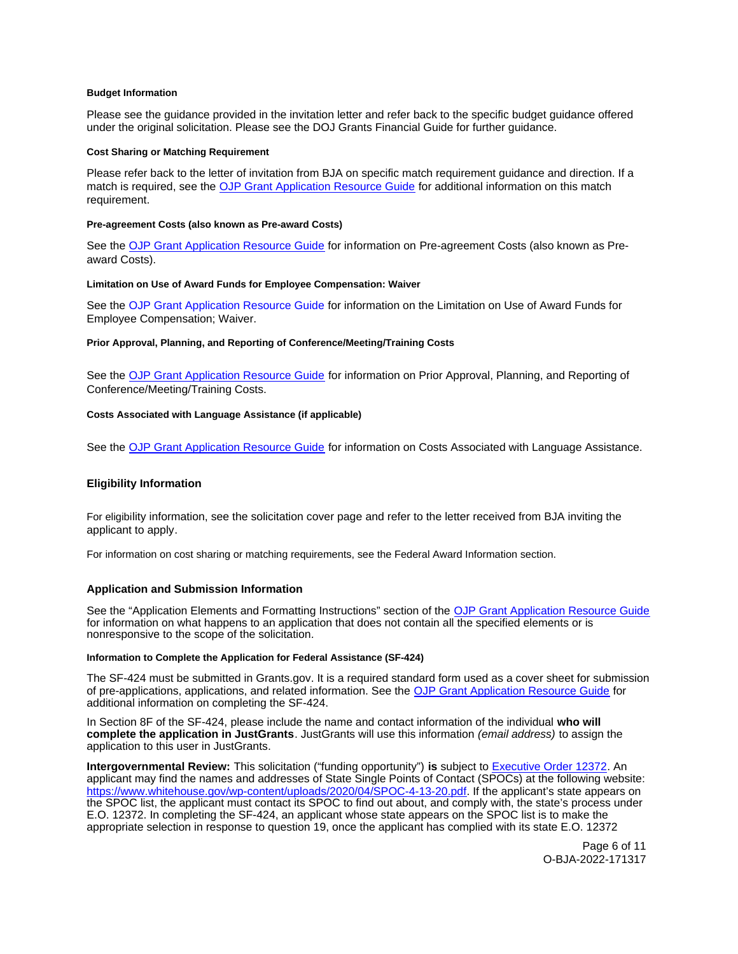## <span id="page-5-0"></span>**Budget Information**

Please see the guidance provided in the invitation letter and refer back to the specific budget guidance offered under the original solicitation. Please see the DOJ Grants Financial Guide for further guidance.

## **Cost Sharing or Matching Requirement**

Please refer back to the letter of invitation from BJA on specific match requirement guidance and direction. If a match is required, see the [OJP Grant Application Resource Guide](https://www.ojp.gov/funding/apply/ojp-grant-application-resource-guide#fm-internal-controls) for additional information on this match requirement.

#### **Pre-agreement Costs (also known as Pre-award Costs)**

See the [OJP Grant Application Resource Guide](https://www.ojp.gov/funding/apply/ojp-grant-application-resource-guide#pre-agreement-costs) for information on Pre-agreement Costs (also known as Preaward Costs).

#### **Limitation on Use of Award Funds for Employee Compensation: Waiver**

See the [OJP Grant Application Resource Guide](https://www.ojp.gov/funding/apply/ojp-grant-application-resource-guide#limitation-use-award) for information on the Limitation on Use of Award Funds for Employee Compensation; Waiver.

#### **Prior Approval, Planning, and Reporting of Conference/Meeting/Training Costs**

See the [OJP Grant Application Resource Guide](https://www.ojp.gov/funding/apply/ojp-grant-application-resource-guide#prior-approval) for information on Prior Approval, Planning, and Reporting of Conference/Meeting/Training Costs.

#### **Costs Associated with Language Assistance (if applicable)**

See the [OJP Grant Application Resource Guide](https://www.ojp.gov/funding/apply/ojp-grant-application-resource-guide#costs-associated) for information on Costs Associated with Language Assistance.

## **Eligibility Information**

For eligibility information, see the solicitation cover page and refer to the letter received from BJA inviting the applicant to apply.

For information on cost sharing or matching requirements, see the Federal Award Information section.

## **Application and Submission Information**

See the "Application Elements and Formatting Instructions" section of the [OJP Grant Application Resource Guide](https://www.ojp.gov/funding/apply/ojp-grant-application-resource-guide#application-elements)  for information on what happens to an application that does not contain all the specified elements or is nonresponsive to the scope of the solicitation.

## **Information to Complete the Application for Federal Assistance (SF-424)**

The SF-424 must be submitted in [Grants.gov](https://Grants.gov). It is a required standard form used as a cover sheet for submission of pre-applications, applications, and related information. See the [OJP Grant Application Resource Guide](https://www.ojp.gov/funding/apply/ojp-grant-application-resource-guide#complete-application) for additional information on completing the SF-424.

In Section 8F of the SF-424, please include the name and contact information of the individual **who will complete the application in JustGrants**. JustGrants will use this information (email address) to assign the application to this user in JustGrants.

**Intergovernmental Review:** This solicitation ("funding opportunity") **is** subject to [Executive Order 12372.](https://www.archives.gov/federal-register/codification/executive-order/12372.html) An applicant may find the names and addresses of State Single Points of Contact (SPOCs) at the following website: [https://www.whitehouse.gov/wp-content/uploads/2020/04/SPOC-4-13-20.pdf.](https://www.whitehouse.gov/wp-content/uploads/2017/11/Intergovernmental_-Review-_SPOC_01_2018_OFFM.pdf) If the applicant's state appears on the SPOC list, the applicant must contact its SPOC to find out about, and comply with, the state's process under E.O. 12372. In completing the SF-424, an applicant whose state appears on the SPOC list is to make the appropriate selection in response to question 19, once the applicant has complied with its state E.O. 12372

> Page 6 of 11 O-BJA-2022-171317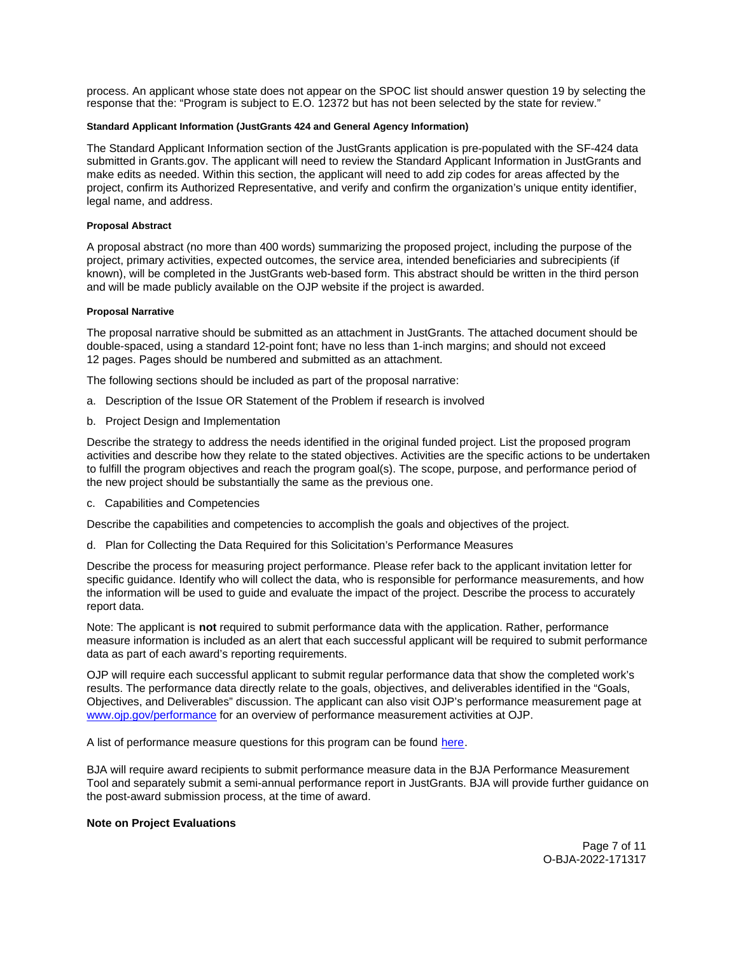<span id="page-6-0"></span>process. An applicant whose state does not appear on the SPOC list should answer question 19 by selecting the response that the: "Program is subject to E.O. 12372 but has not been selected by the state for review."

## **Standard Applicant Information (JustGrants 424 and General Agency Information)**

The Standard Applicant Information section of the JustGrants application is pre-populated with the SF-424 data submitted in [Grants.gov.](https://Grants.gov) The applicant will need to review the Standard Applicant Information in JustGrants and make edits as needed. Within this section, the applicant will need to add zip codes for areas affected by the project, confirm its Authorized Representative, and verify and confirm the organization's unique entity identifier, legal name, and address.

## **Proposal Abstract**

A proposal abstract (no more than 400 words) summarizing the proposed project, including the purpose of the project, primary activities, expected outcomes, the service area, intended beneficiaries and subrecipients (if known), will be completed in the JustGrants web-based form. This abstract should be written in the third person and will be made publicly available on the OJP website if the project is awarded.

## **Proposal Narrative**

The proposal narrative should be submitted as an attachment in JustGrants. The attached document should be double-spaced, using a standard 12-point font; have no less than 1-inch margins; and should not exceed 12 pages. Pages should be numbered and submitted as an attachment.

The following sections should be included as part of the proposal narrative:

- a. Description of the Issue OR Statement of the Problem if research is involved
- b. Project Design and Implementation

Describe the strategy to address the needs identified in the original funded project. List the proposed program activities and describe how they relate to the stated objectives. Activities are the specific actions to be undertaken to fulfill the program objectives and reach the program goal(s). The scope, purpose, and performance period of the new project should be substantially the same as the previous one.

c. Capabilities and Competencies

Describe the capabilities and competencies to accomplish the goals and objectives of the project.

d. Plan for Collecting the Data Required for this Solicitation's Performance Measures

Describe the process for measuring project performance. Please refer back to the applicant invitation letter for specific guidance. Identify who will collect the data, who is responsible for performance measurements, and how the information will be used to guide and evaluate the impact of the project. Describe the process to accurately report data.

Note: The applicant is **not** required to submit performance data with the application. Rather, performance measure information is included as an alert that each successful applicant will be required to submit performance data as part of each award's reporting requirements.

OJP will require each successful applicant to submit regular performance data that show the completed work's results. The performance data directly relate to the goals, objectives, and deliverables identified in the "Goals, Objectives, and Deliverables" discussion. The applicant can also visit OJP's performance measurement page at [www.ojp.gov/performance](https://www.ojp.gov/performance) for an overview of performance measurement activities at OJP.

A list of performance measure questions for this program can be found [here.](https://bja.ojp.gov/funding/performance-measures/bja-program-performance-measures)

BJA will require award recipients to submit performance measure data in the BJA Performance Measurement Tool and separately submit a semi-annual performance report in JustGrants. BJA will provide further guidance on the post-award submission process, at the time of award.

#### **Note on Project Evaluations**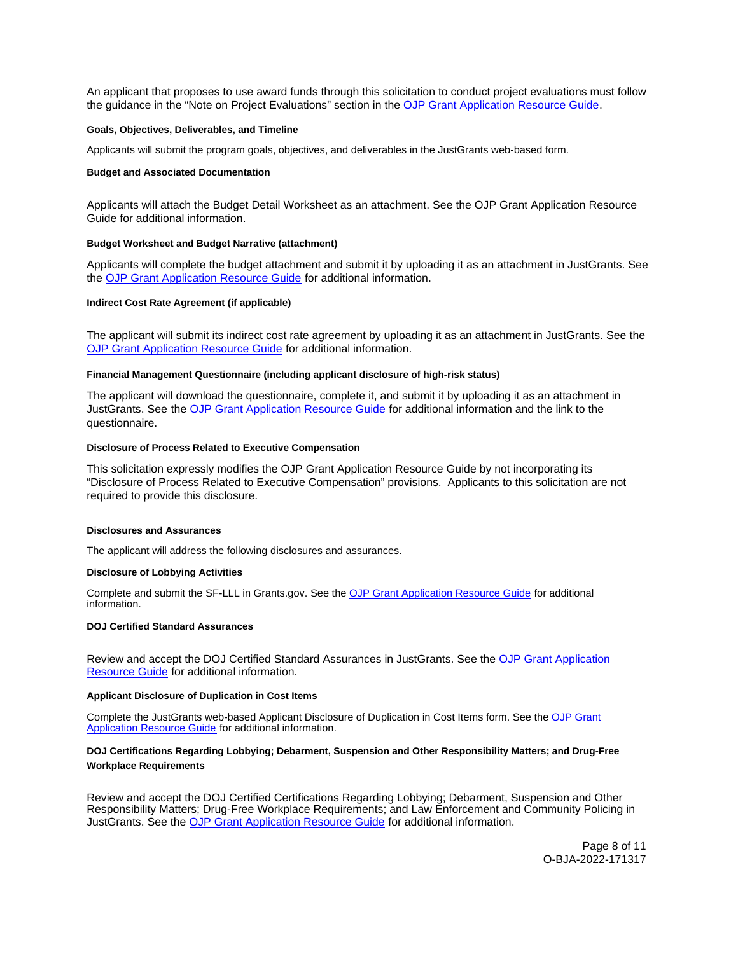<span id="page-7-0"></span>An applicant that proposes to use award funds through this solicitation to conduct project evaluations must follow the guidance in the "Note on Project Evaluations" section in the [OJP Grant Application Resource Guide.](https://www.ojp.gov/funding/apply/ojp-grant-application-resource-guide#project-evaluations)

#### **Goals, Objectives, Deliverables, and Timeline**

Applicants will submit the program goals, objectives, and deliverables in the JustGrants web-based form.

#### **Budget and Associated Documentation**

Applicants will attach the Budget Detail Worksheet as an attachment. See the OJP Grant Application Resource Guide for additional information.

#### **Budget Worksheet and Budget Narrative (attachment)**

Applicants will complete the budget attachment and submit it by uploading it as an attachment in JustGrants. See the [OJP Grant Application Resource Guide](https://www.ojp.gov/funding/apply/ojp-grant-application-resource-guide#budget-prep) for additional information.

## **Indirect Cost Rate Agreement (if applicable)**

The applicant will submit its indirect cost rate agreement by uploading it as an attachment in JustGrants. See the [OJP Grant Application Resource Guide](https://www.ojp.gov/funding/apply/ojp-grant-application-resource-guide#indirect-cost) for additional information.

#### **Financial Management Questionnaire (including applicant disclosure of high-risk status)**

The applicant will download the questionnaire, complete it, and submit it by uploading it as an attachment in JustGrants. See the [OJP Grant Application Resource Guide](https://www.ojp.gov/funding/apply/ojp-grant-application-resource-guide#fm-internal-controls-questionnaire) for additional information and the link to the questionnaire.

#### **Disclosure of Process Related to Executive Compensation**

This solicitation expressly modifies the OJP Grant Application Resource Guide by not incorporating its "Disclosure of Process Related to Executive Compensation" provisions. Applicants to this solicitation are not required to provide this disclosure.

#### **Disclosures and Assurances**

The applicant will address the following disclosures and assurances.

#### **Disclosure of Lobbying Activities**

Complete and submit the SF-LLL in [Grants.gov.](https://Grants.gov) See the [OJP Grant Application Resource Guide](https://www.ojp.gov/funding/apply/ojp-grant-application-resource-guide#disclosure-lobby) for additional information.

#### **DOJ Certified Standard Assurances**

Review and accept the DOJ Certified Standard Assurances in JustGrants. See the [OJP Grant Application](https://www.ojp.gov/funding/apply/ojp-grant-application-resource-guide#administrative)  [Resource Guide](https://www.ojp.gov/funding/apply/ojp-grant-application-resource-guide#administrative) for additional information.

#### **Applicant Disclosure of Duplication in Cost Items**

Complete the JustGrants web-based Applicant Disclosure of Duplication in Cost Items form. See the [OJP Grant](https://www.ojp.gov/funding/apply/ojp-grant-application-resource-guide#applicant-disclosure-pending-applications)  [Application Resource Guide](https://www.ojp.gov/funding/apply/ojp-grant-application-resource-guide#applicant-disclosure-pending-applications) for additional information.

# **DOJ Certifications Regarding Lobbying; Debarment, Suspension and Other Responsibility Matters; and Drug-Free Workplace Requirements**

Review and accept the DOJ Certified Certifications Regarding Lobbying; Debarment, Suspension and Other Responsibility Matters; Drug-Free Workplace Requirements; and Law Enforcement and Community Policing in JustGrants. See the [OJP Grant Application Resource Guide](https://www.ojp.gov/funding/apply/ojp-grant-application-resource-guide#administrative) for additional information.

> Page 8 of 11 O-BJA-2022-171317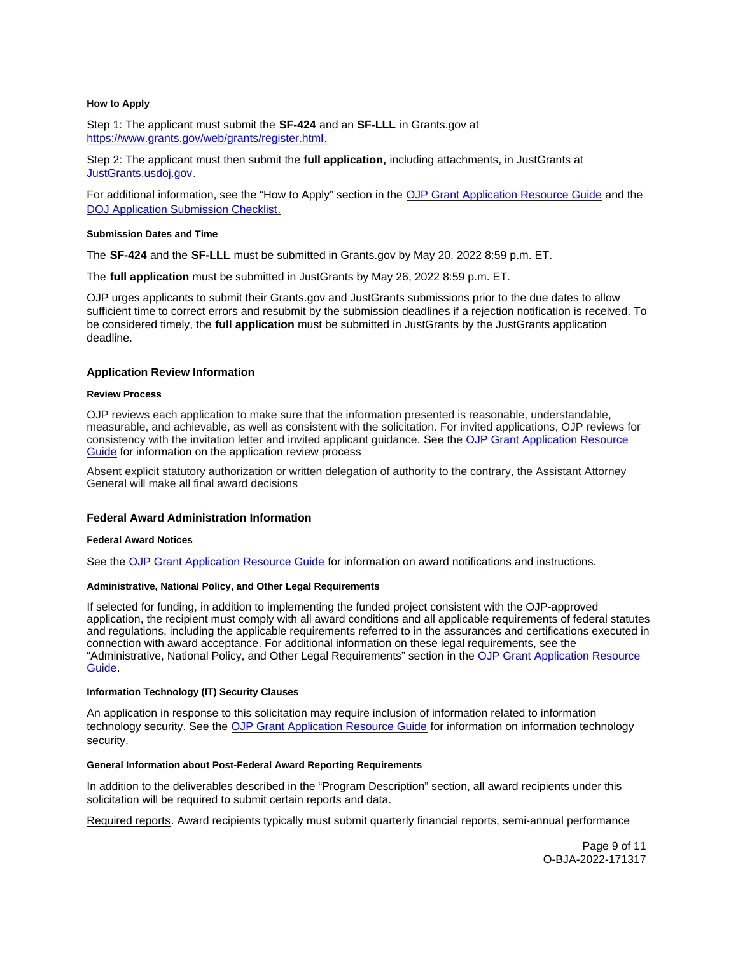#### <span id="page-8-0"></span>**How to Apply**

Step 1: The applicant must submit the **SF-424** and an **SF-LLL** in [Grants.gov](https://Grants.gov) at [https://www.grants.gov/web/grants/register.html.](https://www.grants.gov/web/grants/register.html)

Step 2: The applicant must then submit the **full application,** including attachments, in JustGrants at [JustGrants.usdoj.gov.](file://OJPCIFS54/home/callagha/Documents/JustGrants.usdoj.gov)

For additional information, see the "How to Apply" section in the [OJP Grant Application Resource Guide](https://www.ojp.gov/funding/apply/ojp-grant-application-resource-guide#apply) and the [DOJ Application Submission Checklist.](https://justicegrants.usdoj.gov/sites/g/files/xyckuh296/files/media/document/appln-submission-checklist.pdf)

#### **Submission Dates and Time**

The **SF-424** and the **SF-LLL** must be submitted in [Grants.gov](https://Grants.gov) by May 20, 2022 8:59 p.m. ET.

The **full application** must be submitted in JustGrants by May 26, 2022 8:59 p.m. ET.

OJP urges applicants to submit their [Grants.gov](https://Grants.gov) and JustGrants submissions prior to the due dates to allow sufficient time to correct errors and resubmit by the submission deadlines if a rejection notification is received. To be considered timely, the **full application** must be submitted in JustGrants by the JustGrants application deadline.

## **Application Review Information**

#### **Review Process**

OJP reviews each application to make sure that the information presented is reasonable, understandable, measurable, and achievable, as well as consistent with the solicitation. For invited applications, OJP reviews for consistency with the invitation letter and invited applicant guidance. See the OJP Grant Application Resource [Guide](https://www.ojp.gov/funding/apply/ojp-grant-application-resource-guide#application-review) for information on the application review process

Absent explicit statutory authorization or written delegation of authority to the contrary, the Assistant Attorney General will make all final award decisions

#### **Federal Award Administration Information**

#### **Federal Award Notices**

See the [OJP Grant Application Resource Guide](https://www.ojp.gov/funding/apply/ojp-grant-application-resource-guide#federal-award-notices) for information on award notifications and instructions.

## **Administrative, National Policy, and Other Legal Requirements**

If selected for funding, in addition to implementing the funded project consistent with the OJP-approved application, the recipient must comply with all award conditions and all applicable requirements of federal statutes and regulations, including the applicable requirements referred to in the assurances and certifications executed in connection with award acceptance. For additional information on these legal requirements, see the "Administrative, National Policy, and Other Legal Requirements" section in the [OJP Grant Application Resource](https://www.ojp.gov/funding/apply/ojp-grant-application-resource-guide#administrative)  [Guide.](https://www.ojp.gov/funding/apply/ojp-grant-application-resource-guide#administrative)

#### **Information Technology (IT) Security Clauses**

An application in response to this solicitation may require inclusion of information related to information technology security. See the [OJP Grant Application Resource Guide](https://www.ojp.gov/funding/apply/ojp-grant-application-resource-guide#information-technology) for information on information technology security.

#### **General Information about Post-Federal Award Reporting Requirements**

In addition to the deliverables described in the "Program Description" section, all award recipients under this solicitation will be required to submit certain reports and data.

Required reports. Award recipients typically must submit quarterly financial reports, semi-annual performance

Page 9 of 11 O-BJA-2022-171317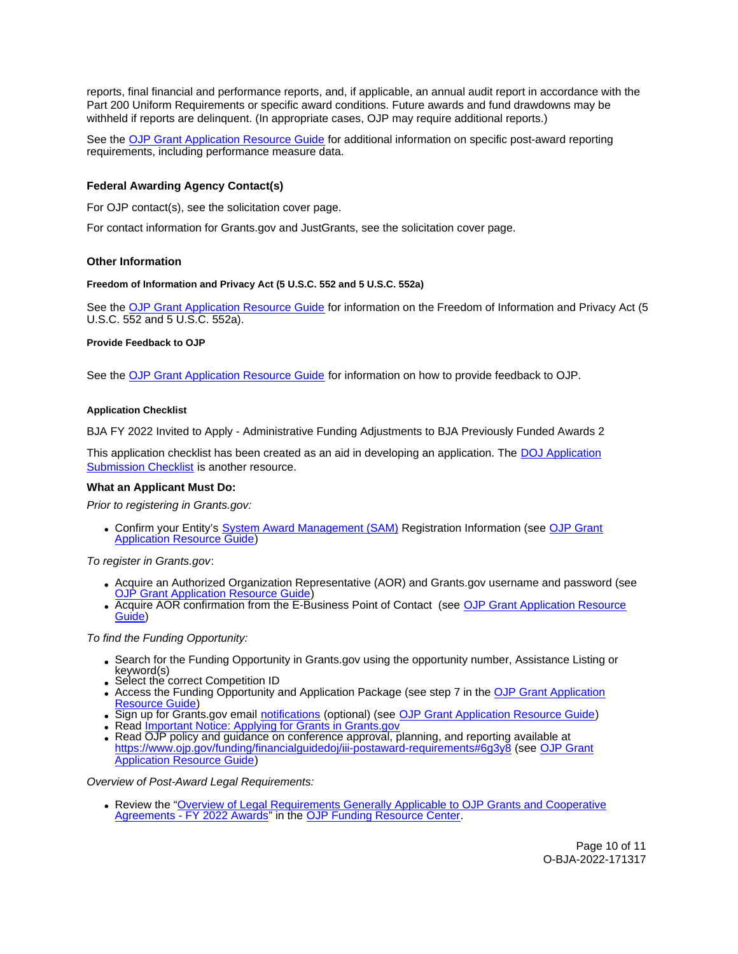<span id="page-9-0"></span>reports, final financial and performance reports, and, if applicable, an annual audit report in accordance with the Part 200 Uniform Requirements or specific award conditions. Future awards and fund drawdowns may be withheld if reports are delinquent. (In appropriate cases, OJP may require additional reports.)

See the [OJP Grant Application Resource Guide](https://www.ojp.gov/funding/apply/ojp-grant-application-resource-guide#general-information) for additional information on specific post-award reporting requirements, including performance measure data.

# **Federal Awarding Agency Contact(s)**

For OJP contact(s), see the solicitation cover page.

For contact information for [Grants.gov](https://Grants.gov) and JustGrants, see the solicitation cover page.

# **Other Information**

## **Freedom of Information and Privacy Act (5 U.S.C. 552 and 5 U.S.C. 552a)**

See the [OJP Grant Application Resource Guide](https://www.ojp.gov/funding/apply/ojp-grant-application-resource-guide#foia) for information on the Freedom of Information and Privacy Act (5 U.S.C. 552 and 5 U.S.C. 552a).

## **Provide Feedback to OJP**

See the [OJP Grant Application Resource Guide](https://www.ojp.gov/funding/apply/ojp-grant-application-resource-guide#feedback) for information on how to provide feedback to OJP.

## **Application Checklist**

BJA FY 2022 Invited to Apply - Administrative Funding Adjustments to BJA Previously Funded Awards 2

This application checklist has been created as an aid in developing an application. The [DOJ Application](https://justicegrants.usdoj.gov/sites/g/files/xyckuh296/files/media/document/appln-submission-checklist.pdf)  [Submission Checklist](https://justicegrants.usdoj.gov/sites/g/files/xyckuh296/files/media/document/appln-submission-checklist.pdf) is another resource.

# **What an Applicant Must Do:**

Prior to registering in [Grants.gov](https://Grants.gov):

Confirm your Entity's [System Award Management \(SAM\)](https://sam.gov/SAM/) Registration Information (see [OJP Grant](https://www.ojp.gov/funding/apply/ojp-grant-application-resource-guide#apply)  [Application Resource Guide\)](https://www.ojp.gov/funding/apply/ojp-grant-application-resource-guide#apply)

To register in [Grants.gov](https://Grants.gov):

- Acquire an Authorized Organization Representative (AOR) and [Grants.gov](https://Grants.gov) username and password (see [OJP Grant Application Resource Guide\)](https://www.ojp.gov/funding/apply/ojp-grant-application-resource-guide#apply)
- Acquire AOR confirmation from the E-Business Point of Contact (see OJP Grant Application Resource [Guide\)](https://www.ojp.gov/funding/apply/ojp-grant-application-resource-guide#apply)

# To find the Funding Opportunity:

- Search for the Funding Opportunity in [Grants.gov](https://Grants.gov) using the opportunity number, Assistance Listing or keyword(s)
- Select the correct Competition ID
- Access the Funding Opportunity and Application Package (see step 7 in the [OJP Grant Application](https://www.ojp.gov/funding/apply/ojp-grant-application-resource-guide#apply)  [Resource Guide\)](https://www.ojp.gov/funding/apply/ojp-grant-application-resource-guide#apply)
- Sign up for [Grants.gov](https://Grants.gov) email [notifications](https://www.grants.gov/web/grants/manage-subscriptions.html) (optional) (see [OJP Grant Application Resource Guide\)](https://www.ojp.gov/funding/apply/ojp-grant-application-resource-guide#apply)
- Read [Important Notice: Applying for Grants in Grants.gov](https://ojp.gov/funding/Apply/Grants-govInfo.htm)
- . Read OJP policy and guidance on conference approval, planning, and reporting available at <https://www.ojp.gov/funding/financialguidedoj/iii-postaward-requirements#6g3y8>(see [OJP Grant](https://www.ojp.gov/funding/apply/ojp-grant-application-resource-guide#prior-approval)  [Application Resource Guide\)](https://www.ojp.gov/funding/apply/ojp-grant-application-resource-guide#prior-approval)

Overview of Post-Award Legal Requirements:

• Review the "Overview of Legal Requirements Generally Applicable to OJP Grants and Cooperative [Agreements - FY 2022 Awards"](https://www.ojp.gov/funding/explore/legal-overview-fy-2022-awards) in the [OJP Funding Resource Center.](https://www.ojp.gov/funding/explore/legal-overview-awards)